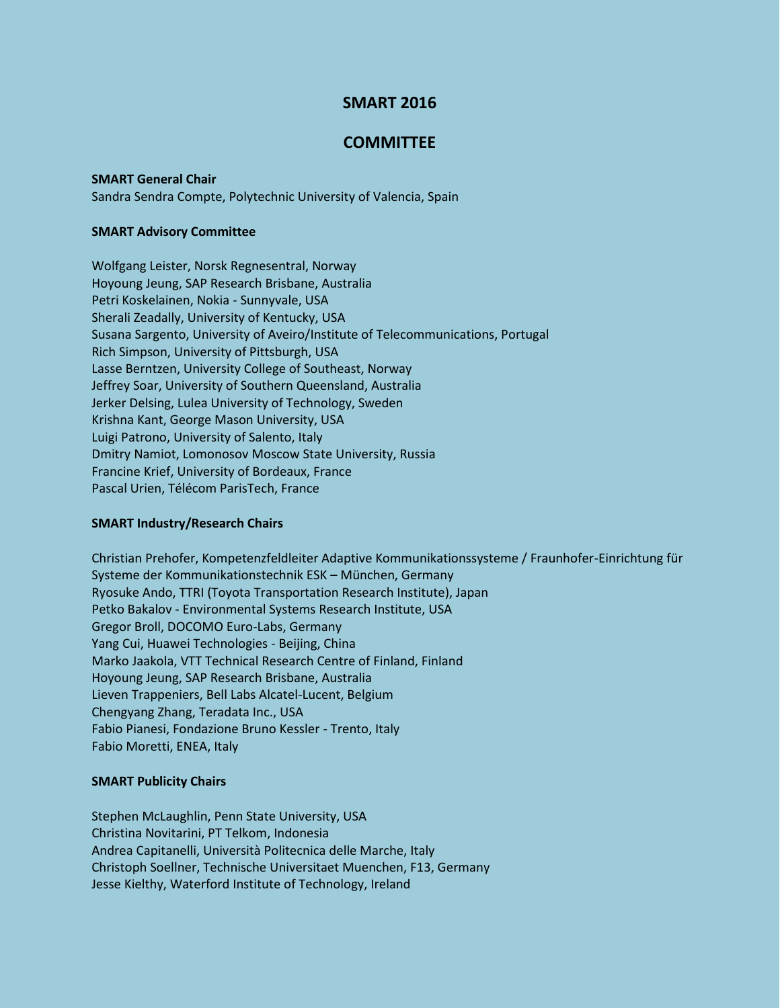# **SMART 2016**

# **COMMITTEE**

### **SMART General Chair**

Sandra Sendra Compte, Polytechnic University of Valencia, Spain

### **SMART Advisory Committee**

Wolfgang Leister, Norsk Regnesentral, Norway Hoyoung Jeung, SAP Research Brisbane, Australia Petri Koskelainen, Nokia - Sunnyvale, USA Sherali Zeadally, University of Kentucky, USA Susana Sargento, University of Aveiro/Institute of Telecommunications, Portugal Rich Simpson, University of Pittsburgh, USA Lasse Berntzen, University College of Southeast, Norway Jeffrey Soar, University of Southern Queensland, Australia Jerker Delsing, Lulea University of Technology, Sweden Krishna Kant, George Mason University, USA Luigi Patrono, University of Salento, Italy Dmitry Namiot, Lomonosov Moscow State University, Russia Francine Krief, University of Bordeaux, France Pascal Urien, Télécom ParisTech, France

## **SMART Industry/Research Chairs**

Christian Prehofer, Kompetenzfeldleiter Adaptive Kommunikationssysteme / Fraunhofer-Einrichtung für Systeme der Kommunikationstechnik ESK – München, Germany Ryosuke Ando, TTRI (Toyota Transportation Research Institute), Japan Petko Bakalov - Environmental Systems Research Institute, USA Gregor Broll, DOCOMO Euro-Labs, Germany Yang Cui, Huawei Technologies - Beijing, China Marko Jaakola, VTT Technical Research Centre of Finland, Finland Hoyoung Jeung, SAP Research Brisbane, Australia Lieven Trappeniers, Bell Labs Alcatel-Lucent, Belgium Chengyang Zhang, Teradata Inc., USA Fabio Pianesi, Fondazione Bruno Kessler - Trento, Italy Fabio Moretti, ENEA, Italy

## **SMART Publicity Chairs**

Stephen McLaughlin, Penn State University, USA Christina Novitarini, PT Telkom, Indonesia Andrea Capitanelli, Università Politecnica delle Marche, Italy Christoph Soellner, Technische Universitaet Muenchen, F13, Germany Jesse Kielthy, Waterford Institute of Technology, Ireland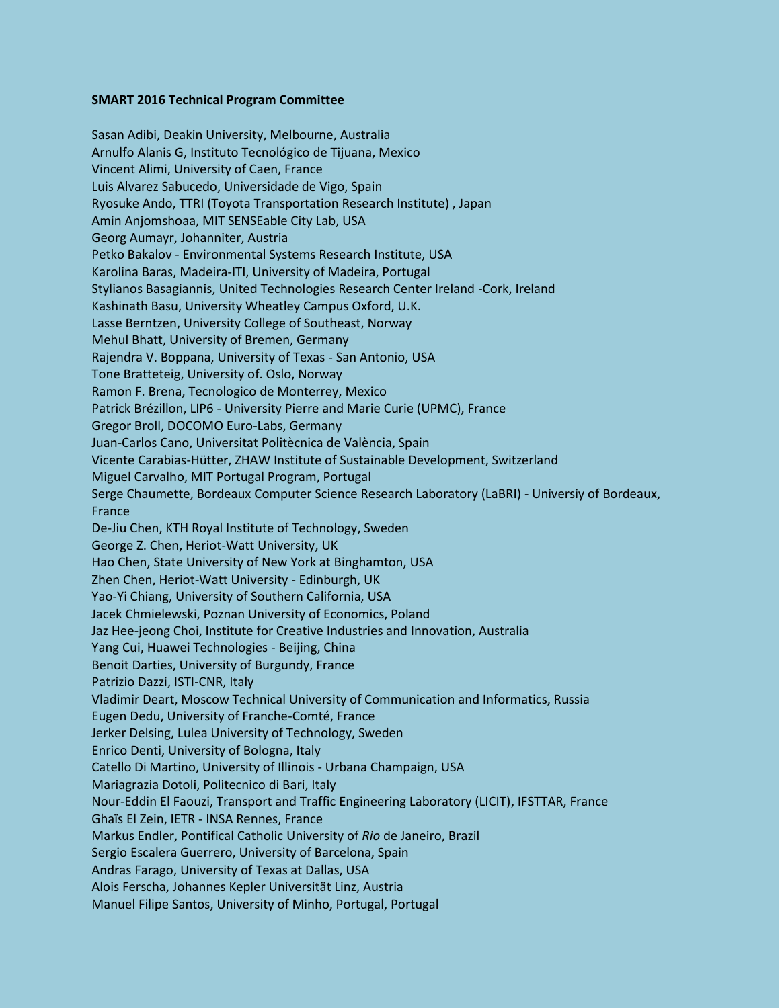### **SMART 2016 Technical Program Committee**

Sasan Adibi, Deakin University, Melbourne, Australia Arnulfo Alanis G, Instituto Tecnológico de Tijuana, Mexico Vincent Alimi, University of Caen, France Luis Alvarez Sabucedo, Universidade de Vigo, Spain Ryosuke Ando, TTRI (Toyota Transportation Research Institute) , Japan Amin Anjomshoaa, MIT SENSEable City Lab, USA Georg Aumayr, Johanniter, Austria Petko Bakalov - Environmental Systems Research Institute, USA Karolina Baras, Madeira-ITI, University of Madeira, Portugal Stylianos Basagiannis, United Technologies Research Center Ireland -Cork, Ireland Kashinath Basu, University Wheatley Campus Oxford, U.K. Lasse Berntzen, University College of Southeast, Norway Mehul Bhatt, University of Bremen, Germany Rajendra V. Boppana, University of Texas - San Antonio, USA Tone Bratteteig, University of. Oslo, Norway Ramon F. Brena, Tecnologico de Monterrey, Mexico Patrick Brézillon, LIP6 - University Pierre and Marie Curie (UPMC), France Gregor Broll, DOCOMO Euro-Labs, Germany Juan-Carlos Cano, Universitat Politècnica de València, Spain Vicente Carabias-Hütter, ZHAW Institute of Sustainable Development, Switzerland Miguel Carvalho, MIT Portugal Program, Portugal Serge Chaumette, Bordeaux Computer Science Research Laboratory (LaBRI) - Universiy of Bordeaux, France De-Jiu Chen, KTH Royal Institute of Technology, Sweden George Z. Chen, Heriot-Watt University, UK Hao Chen, State University of New York at Binghamton, USA Zhen Chen, Heriot-Watt University - Edinburgh, UK Yao-Yi Chiang, University of Southern California, USA Jacek Chmielewski, Poznan University of Economics, Poland Jaz Hee-jeong Choi, Institute for Creative Industries and Innovation, Australia Yang Cui, Huawei Technologies - Beijing, China Benoit Darties, University of Burgundy, France Patrizio Dazzi, ISTI-CNR, Italy Vladimir Deart, Moscow Technical University of Communication and Informatics, Russia Eugen Dedu, University of Franche-Comté, France Jerker Delsing, Lulea University of Technology, Sweden Enrico Denti, University of Bologna, Italy Catello Di Martino, University of Illinois - Urbana Champaign, USA Mariagrazia Dotoli, Politecnico di Bari, Italy Nour-Eddin El Faouzi, Transport and Traffic Engineering Laboratory (LICIT), IFSTTAR, France Ghaïs El Zein, IETR - INSA Rennes, France Markus Endler, Pontifical Catholic University of *Rio* de Janeiro, Brazil Sergio Escalera Guerrero, University of Barcelona, Spain Andras Farago, University of Texas at Dallas, USA Alois Ferscha, Johannes Kepler Universität Linz, Austria Manuel Filipe Santos, University of Minho, Portugal, Portugal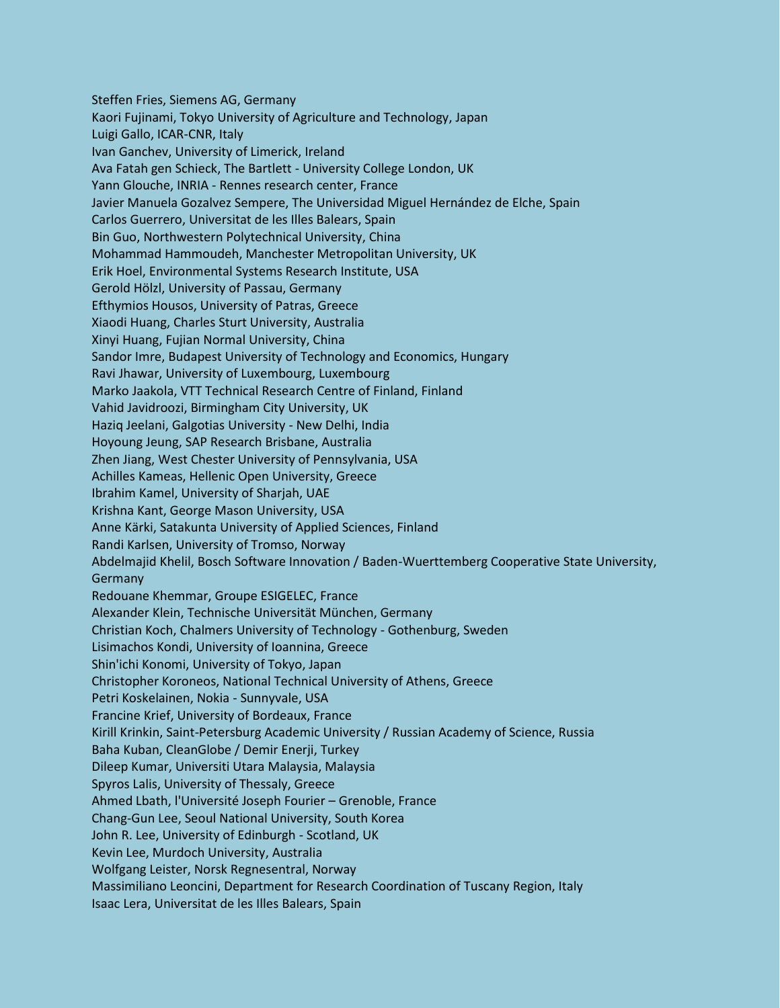Steffen Fries, Siemens AG, Germany Kaori Fujinami, Tokyo University of Agriculture and Technology, Japan Luigi Gallo, ICAR-CNR, Italy Ivan Ganchev, University of Limerick, Ireland Ava Fatah gen Schieck, The Bartlett - University College London, UK Yann Glouche, INRIA - Rennes research center, France Javier Manuela Gozalvez Sempere, The Universidad Miguel Hernández de Elche, Spain Carlos Guerrero, Universitat de les Illes Balears, Spain Bin Guo, Northwestern Polytechnical University, China Mohammad Hammoudeh, Manchester Metropolitan University, UK Erik Hoel, Environmental Systems Research Institute, USA Gerold Hölzl, University of Passau, Germany Efthymios Housos, University of Patras, Greece Xiaodi Huang, Charles Sturt University, Australia Xinyi Huang, Fujian Normal University, China Sandor Imre, Budapest University of Technology and Economics, Hungary Ravi Jhawar, University of Luxembourg, Luxembourg Marko Jaakola, VTT Technical Research Centre of Finland, Finland Vahid Javidroozi, Birmingham City University, UK Haziq Jeelani, Galgotias University - New Delhi, India Hoyoung Jeung, SAP Research Brisbane, Australia Zhen Jiang, West Chester University of Pennsylvania, USA Achilles Kameas, Hellenic Open University, Greece Ibrahim Kamel, University of Sharjah, UAE Krishna Kant, George Mason University, USA Anne Kärki, Satakunta University of Applied Sciences, Finland Randi Karlsen, University of Tromso, Norway Abdelmajid Khelil, Bosch Software Innovation / Baden-Wuerttemberg Cooperative State University, Germany Redouane Khemmar, Groupe ESIGELEC, France Alexander Klein, Technische Universität München, Germany Christian Koch, Chalmers University of Technology - Gothenburg, Sweden Lisimachos Kondi, University of Ioannina, Greece Shin'ichi Konomi, University of Tokyo, Japan Christopher Koroneos, National Technical University of Athens, Greece Petri Koskelainen, Nokia - Sunnyvale, USA Francine Krief, University of Bordeaux, France Kirill Krinkin, Saint-Petersburg Academic University / Russian Academy of Science, Russia Baha Kuban, CleanGlobe / Demir Enerji, Turkey Dileep Kumar, Universiti Utara Malaysia, Malaysia Spyros Lalis, University of Thessaly, Greece Ahmed Lbath, l'Université Joseph Fourier – Grenoble, France Chang-Gun Lee, Seoul National University, South Korea John R. Lee, University of Edinburgh - Scotland, UK Kevin Lee, Murdoch University, Australia Wolfgang Leister, Norsk Regnesentral, Norway Massimiliano Leoncini, Department for Research Coordination of Tuscany Region, Italy Isaac Lera, Universitat de les Illes Balears, Spain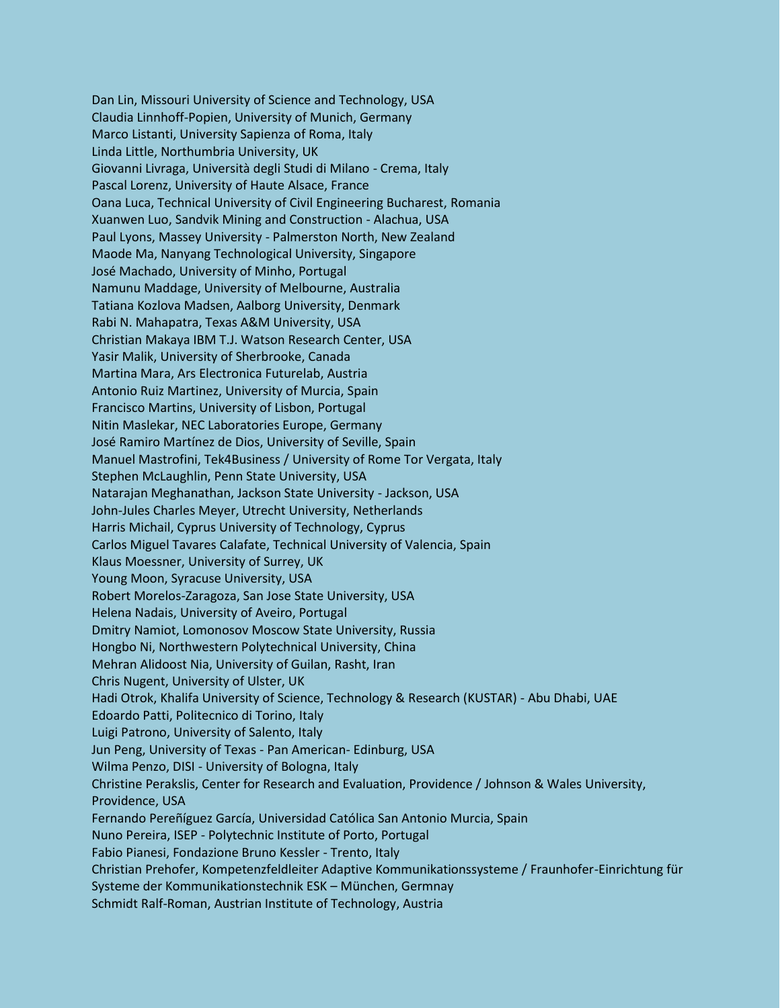Dan Lin, Missouri University of Science and Technology, USA Claudia Linnhoff-Popien, University of Munich, Germany Marco Listanti, University Sapienza of Roma, Italy Linda Little, Northumbria University, UK Giovanni Livraga, Università degli Studi di Milano - Crema, Italy Pascal Lorenz, University of Haute Alsace, France Oana Luca, Technical University of Civil Engineering Bucharest, Romania Xuanwen Luo, Sandvik Mining and Construction - Alachua, USA Paul Lyons, Massey University - Palmerston North, New Zealand Maode Ma, Nanyang Technological University, Singapore José Machado, University of Minho, Portugal Namunu Maddage, University of Melbourne, Australia Tatiana Kozlova Madsen, Aalborg University, Denmark Rabi N. Mahapatra, Texas A&M University, USA Christian Makaya IBM T.J. Watson Research Center, USA Yasir Malik, University of Sherbrooke, Canada Martina Mara, Ars Electronica Futurelab, Austria Antonio Ruiz Martinez, University of Murcia, Spain Francisco Martins, University of Lisbon, Portugal Nitin Maslekar, NEC Laboratories Europe, Germany José Ramiro Martínez de Dios, University of Seville, Spain Manuel Mastrofini, Tek4Business / University of Rome Tor Vergata, Italy Stephen McLaughlin, Penn State University, USA Natarajan Meghanathan, Jackson State University - Jackson, USA John-Jules Charles Meyer, Utrecht University, Netherlands Harris Michail, Cyprus University of Technology, Cyprus Carlos Miguel Tavares Calafate, Technical University of Valencia, Spain Klaus Moessner, University of Surrey, UK Young Moon, Syracuse University, USA Robert Morelos-Zaragoza, San Jose State University, USA Helena Nadais, University of Aveiro, Portugal Dmitry Namiot, Lomonosov Moscow State University, Russia Hongbo Ni, Northwestern Polytechnical University, China Mehran Alidoost Nia, University of Guilan, Rasht, Iran Chris Nugent, University of Ulster, UK Hadi Otrok, Khalifa University of Science, Technology & Research (KUSTAR) - Abu Dhabi, UAE Edoardo Patti, Politecnico di Torino, Italy Luigi Patrono, University of Salento, Italy Jun Peng, University of Texas - Pan American- Edinburg, USA Wilma Penzo, DISI - University of Bologna, Italy Christine Perakslis, Center for Research and Evaluation, Providence / Johnson & Wales University, Providence, USA Fernando Pereñíguez García, Universidad Católica San Antonio Murcia, Spain Nuno Pereira, ISEP - Polytechnic Institute of Porto, Portugal Fabio Pianesi, Fondazione Bruno Kessler - Trento, Italy Christian Prehofer, Kompetenzfeldleiter Adaptive Kommunikationssysteme / Fraunhofer-Einrichtung für Systeme der Kommunikationstechnik ESK – München, Germnay Schmidt Ralf-Roman, Austrian Institute of Technology, Austria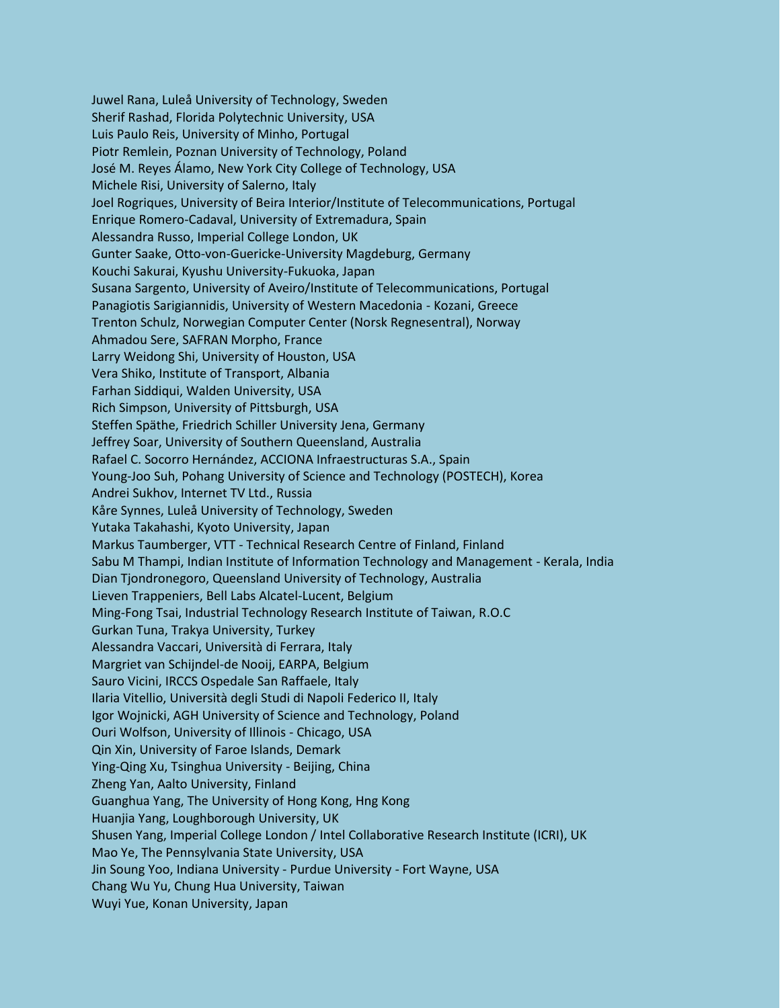Juwel Rana, Luleå University of Technology, Sweden Sherif Rashad, Florida Polytechnic University, USA Luis Paulo Reis, University of Minho, Portugal Piotr Remlein, Poznan University of Technology, Poland José M. Reyes Álamo, New York City College of Technology, USA Michele Risi, University of Salerno, Italy Joel Rogriques, University of Beira Interior/Institute of Telecommunications, Portugal Enrique Romero-Cadaval, University of Extremadura, Spain Alessandra Russo, Imperial College London, UK Gunter Saake, Otto-von-Guericke-University Magdeburg, Germany Kouchi Sakurai, Kyushu University-Fukuoka, Japan Susana Sargento, University of Aveiro/Institute of Telecommunications, Portugal Panagiotis Sarigiannidis, University of Western Macedonia - Kozani, Greece Trenton Schulz, Norwegian Computer Center (Norsk Regnesentral), Norway Ahmadou Sere, SAFRAN Morpho, France Larry Weidong Shi, University of Houston, USA Vera Shiko, Institute of Transport, Albania Farhan Siddiqui, Walden University, USA Rich Simpson, University of Pittsburgh, USA Steffen Späthe, Friedrich Schiller University Jena, Germany Jeffrey Soar, University of Southern Queensland, Australia Rafael C. Socorro Hernández, ACCIONA Infraestructuras S.A., Spain Young-Joo Suh, Pohang University of Science and Technology (POSTECH), Korea Andrei Sukhov, Internet TV Ltd., Russia Kåre Synnes, Luleå University of Technology, Sweden Yutaka Takahashi, Kyoto University, Japan Markus Taumberger, VTT - Technical Research Centre of Finland, Finland Sabu M Thampi, Indian Institute of Information Technology and Management - Kerala, India Dian Tjondronegoro, Queensland University of Technology, Australia Lieven Trappeniers, Bell Labs Alcatel-Lucent, Belgium Ming-Fong Tsai, Industrial Technology Research Institute of Taiwan, R.O.C Gurkan Tuna, Trakya University, Turkey Alessandra Vaccari, Università di Ferrara, Italy Margriet van Schijndel-de Nooij, EARPA, Belgium Sauro Vicini, IRCCS Ospedale San Raffaele, Italy Ilaria Vitellio, Università degli Studi di Napoli Federico II, Italy Igor Wojnicki, AGH University of Science and Technology, Poland Ouri Wolfson, University of Illinois - Chicago, USA Qin Xin, University of Faroe Islands, Demark Ying-Qing Xu, Tsinghua University - Beijing, China Zheng Yan, Aalto University, Finland Guanghua Yang, The University of Hong Kong, Hng Kong Huanjia Yang, Loughborough University, UK Shusen Yang, Imperial College London / Intel Collaborative Research Institute (ICRI), UK Mao Ye, The Pennsylvania State University, USA Jin Soung Yoo, Indiana University - Purdue University - Fort Wayne, USA Chang Wu Yu, Chung Hua University, Taiwan Wuyi Yue, Konan University, Japan